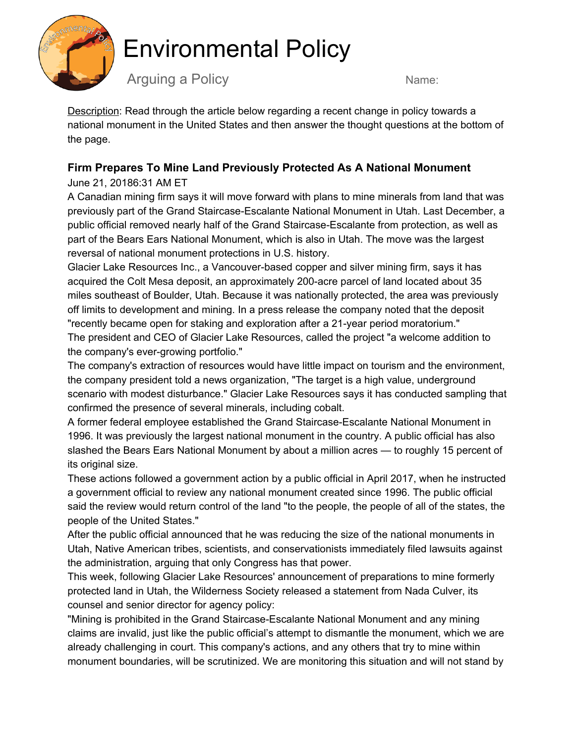

## Environmental Policy

Arguing a Policy Name:

Description: Read through the article below regarding a recent change in policy towards a national monument in the United States and then answer the thought questions at the bottom of the page.

#### **Firm Prepares To Mine Land Previously Protected As A National Monument**

#### June 21, 20186:31 AM ET

A Canadian mining firm says it will move forward with plans to mine minerals from land that was previously part of the Grand Staircase-Escalante National Monument in Utah. Last December, a public official removed nearly half of the Grand Staircase-Escalante from protection, as well as part of the Bears Ears National Monument, which is also in Utah. The move was the largest reversal of national monument protections in U.S. history.

Glacier Lake Resources Inc., a Vancouver-based copper and silver mining firm, says it has acquired the Colt Mesa deposit, an approximately 200-acre parcel of land located about 35 miles southeast of Boulder, Utah. Because it was nationally protected, the area was previously off limits to development and mining. In a press release the company noted that the deposit "recently became open for staking and exploration after a 21-year period moratorium." The president and CEO of Glacier Lake Resources, called the project "a welcome addition to the company's ever-growing portfolio."

The company's extraction of resources would have little impact on tourism and the environment, the company president told a news organization, "The target is a high value, underground scenario with modest disturbance." Glacier Lake Resources says it has conducted sampling that confirmed the presence of several minerals, including cobalt.

A former federal employee established the Grand Staircase-Escalante National Monument in 1996. It was previously the largest national monument in the country. A public official has also slashed the Bears Ears National Monument by about a million acres — to roughly 15 percent of its original size.

These actions followed a government action by a public official in April 2017, when he instructed a government official to review any national monument created since 1996. The public official said the review would return control of the land "to the people, the people of all of the states, the people of the United States."

After the public official announced that he was reducing the size of the national monuments in Utah, Native American tribes, scientists, and conservationists immediately filed lawsuits against the administration, arguing that only Congress has that power.

This week, following Glacier Lake Resources' announcement of preparations to mine formerly protected land in Utah, the Wilderness Society released a statement from Nada Culver, its counsel and senior director for agency policy:

"Mining is prohibited in the Grand Staircase-Escalante National Monument and any mining claims are invalid, just like the public official's attempt to dismantle the monument, which we are already challenging in court. This company's actions, and any others that try to mine within monument boundaries, will be scrutinized. We are monitoring this situation and will not stand by